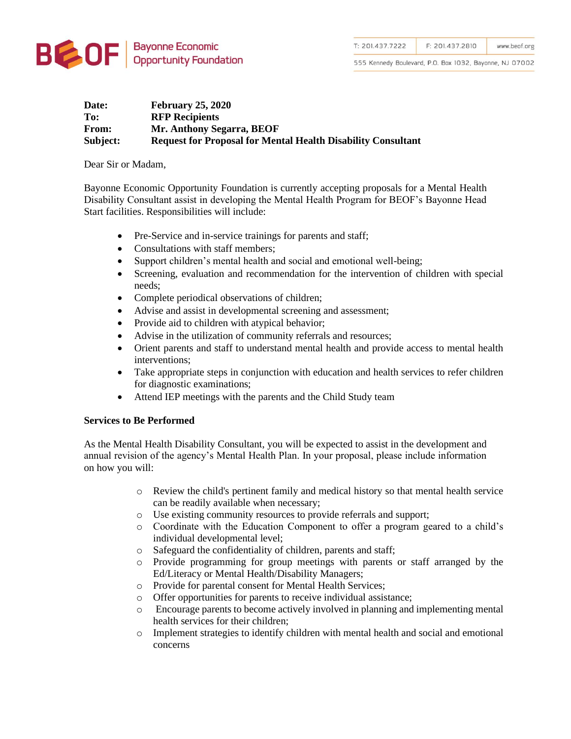

555 Kennedy Boulevard, P.O. Box 1032, Bayonne, NJ 07002

## **Date: February 25, 2020 To: RFP Recipients From: Mr. Anthony Segarra, BEOF Subject: Request for Proposal for Mental Health Disability Consultant**

Dear Sir or Madam,

Bayonne Economic Opportunity Foundation is currently accepting proposals for a Mental Health Disability Consultant assist in developing the Mental Health Program for BEOF's Bayonne Head Start facilities. Responsibilities will include:

- Pre-Service and in-service trainings for parents and staff;
- Consultations with staff members;
- Support children's mental health and social and emotional well-being;
- Screening, evaluation and recommendation for the intervention of children with special needs;
- Complete periodical observations of children;
- Advise and assist in developmental screening and assessment;
- Provide aid to children with atypical behavior;
- Advise in the utilization of community referrals and resources;
- Orient parents and staff to understand mental health and provide access to mental health interventions;
- Take appropriate steps in conjunction with education and health services to refer children for diagnostic examinations;
- Attend IEP meetings with the parents and the Child Study team

# **Services to Be Performed**

As the Mental Health Disability Consultant, you will be expected to assist in the development and annual revision of the agency's Mental Health Plan. In your proposal, please include information on how you will:

- o Review the child's pertinent family and medical history so that mental health service can be readily available when necessary;
- o Use existing community resources to provide referrals and support;
- o Coordinate with the Education Component to offer a program geared to a child's individual developmental level;
- o Safeguard the confidentiality of children, parents and staff;
- o Provide programming for group meetings with parents or staff arranged by the Ed/Literacy or Mental Health/Disability Managers;
- o Provide for parental consent for Mental Health Services;
- o Offer opportunities for parents to receive individual assistance;
- o Encourage parents to become actively involved in planning and implementing mental health services for their children;
- o Implement strategies to identify children with mental health and social and emotional concerns